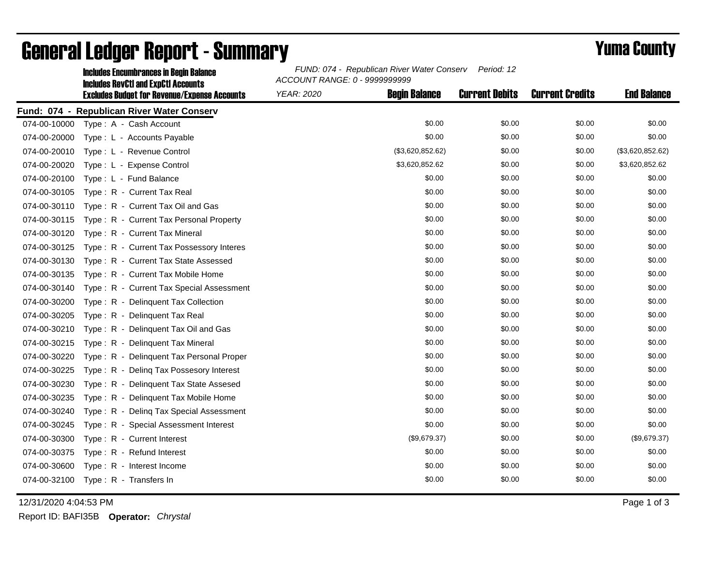|              | <b>Includes Encumbrances in Begin Balance</b>                                                     | FUND: 074 - Republican River Water Conserv<br>Period: 12<br>ACCOUNT RANGE: 0 - 9999999999 |                       |                        |                    |  |
|--------------|---------------------------------------------------------------------------------------------------|-------------------------------------------------------------------------------------------|-----------------------|------------------------|--------------------|--|
|              | <b>Includes RevCtI and ExpCtI Accounts</b><br><b>Excludes Budget for Revenue/Expense Accounts</b> | <b>Begin Balance</b><br>YEAR: 2020                                                        | <b>Current Debits</b> | <b>Current Credits</b> | <b>End Balance</b> |  |
|              | Fund: 074 - Republican River Water Conserv                                                        |                                                                                           |                       |                        |                    |  |
|              | 074-00-10000 Type: A - Cash Account                                                               | \$0.00                                                                                    | \$0.00                | \$0.00                 | \$0.00             |  |
| 074-00-20000 | Type : L - Accounts Payable                                                                       | \$0.00                                                                                    | \$0.00                | \$0.00                 | \$0.00             |  |
| 074-00-20010 | Type: L - Revenue Control                                                                         | (\$3,620,852.62)                                                                          | \$0.00                | \$0.00                 | (\$3,620,852.62)   |  |
| 074-00-20020 | Type: L - Expense Control                                                                         | \$3,620,852.62                                                                            | \$0.00                | \$0.00                 | \$3,620,852.62     |  |
| 074-00-20100 | Type: L - Fund Balance                                                                            | \$0.00                                                                                    | \$0.00                | \$0.00                 | \$0.00             |  |
| 074-00-30105 | Type: R - Current Tax Real                                                                        | \$0.00                                                                                    | \$0.00                | \$0.00                 | \$0.00             |  |
| 074-00-30110 | Type: R - Current Tax Oil and Gas                                                                 | \$0.00                                                                                    | \$0.00                | \$0.00                 | \$0.00             |  |
| 074-00-30115 | Type: R - Current Tax Personal Property                                                           | \$0.00                                                                                    | \$0.00                | \$0.00                 | \$0.00             |  |
| 074-00-30120 | Type: R - Current Tax Mineral                                                                     | \$0.00                                                                                    | \$0.00                | \$0.00                 | \$0.00             |  |
| 074-00-30125 | Type: R - Current Tax Possessory Interes                                                          | \$0.00                                                                                    | \$0.00                | \$0.00                 | \$0.00             |  |
| 074-00-30130 | Type: R - Current Tax State Assessed                                                              | \$0.00                                                                                    | \$0.00                | \$0.00                 | \$0.00             |  |
| 074-00-30135 | Type: R - Current Tax Mobile Home                                                                 | \$0.00                                                                                    | \$0.00                | \$0.00                 | \$0.00             |  |
| 074-00-30140 | Type: R - Current Tax Special Assessment                                                          | \$0.00                                                                                    | \$0.00                | \$0.00                 | \$0.00             |  |
| 074-00-30200 | Type: R - Delinquent Tax Collection                                                               | \$0.00                                                                                    | \$0.00                | \$0.00                 | \$0.00             |  |
| 074-00-30205 | Type: R - Delinquent Tax Real                                                                     | \$0.00                                                                                    | \$0.00                | \$0.00                 | \$0.00             |  |
| 074-00-30210 | Type: R - Delinquent Tax Oil and Gas                                                              | \$0.00                                                                                    | \$0.00                | \$0.00                 | \$0.00             |  |
| 074-00-30215 | Type: R - Delinquent Tax Mineral                                                                  | \$0.00                                                                                    | \$0.00                | \$0.00                 | \$0.00             |  |
| 074-00-30220 | Type: R - Delinquent Tax Personal Proper                                                          | \$0.00                                                                                    | \$0.00                | \$0.00                 | \$0.00             |  |
| 074-00-30225 | Type: R - Deling Tax Possesory Interest                                                           | \$0.00                                                                                    | \$0.00                | \$0.00                 | \$0.00             |  |
| 074-00-30230 | Type: R - Delinquent Tax State Assesed                                                            | \$0.00                                                                                    | \$0.00                | \$0.00                 | \$0.00             |  |
| 074-00-30235 | Type: R - Delinquent Tax Mobile Home                                                              | \$0.00                                                                                    | \$0.00                | \$0.00                 | \$0.00             |  |
| 074-00-30240 | Type: R - Deling Tax Special Assessment                                                           | \$0.00                                                                                    | \$0.00                | \$0.00                 | \$0.00             |  |
| 074-00-30245 | Type: R - Special Assessment Interest                                                             | \$0.00                                                                                    | \$0.00                | \$0.00                 | \$0.00             |  |
| 074-00-30300 | Type: R - Current Interest                                                                        | (\$9,679.37)                                                                              | \$0.00                | \$0.00                 | (\$9,679.37)       |  |
| 074-00-30375 | Type: R - Refund Interest                                                                         | \$0.00                                                                                    | \$0.00                | \$0.00                 | \$0.00             |  |
| 074-00-30600 | Type: R - Interest Income                                                                         | \$0.00                                                                                    | \$0.00                | \$0.00                 | \$0.00             |  |
|              | 074-00-32100 Type: R - Transfers In                                                               | \$0.00                                                                                    | \$0.00                | \$0.00                 | \$0.00             |  |

## General Ledger Report - Summary **Example 2018** Yuma County

12/31/2020 4:04:53 PM Page 1 of 3

Report ID: BAFI35B **Operator:** *Chrystal*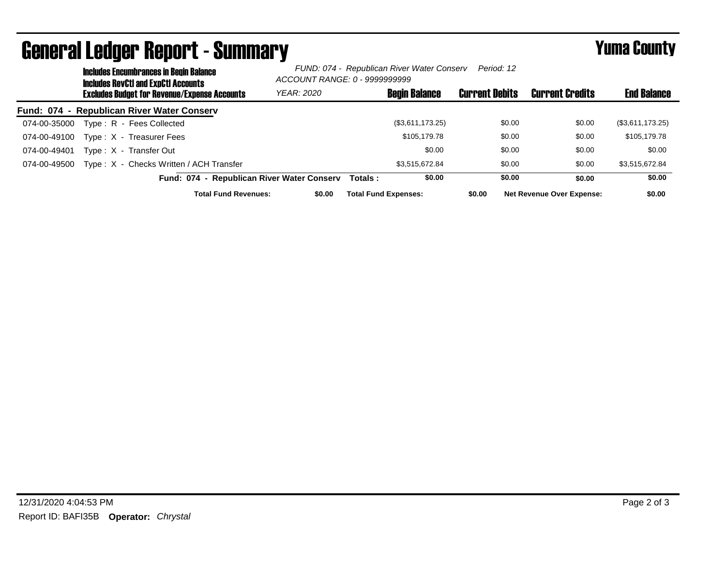|              | <b>Includes Encumbrances in Begin Balance</b><br><b>Includes RevCtI and ExpCtI Accounts</b> |                                                     |                                            | FUND: 074 - Republican River Water Conserv<br>Period: 12<br>ACCOUNT RANGE: 0 - 9999999999 |                      |                       |                                  |                    |
|--------------|---------------------------------------------------------------------------------------------|-----------------------------------------------------|--------------------------------------------|-------------------------------------------------------------------------------------------|----------------------|-----------------------|----------------------------------|--------------------|
|              |                                                                                             | <b>Excludes Budget for Revenue/Expense Accounts</b> | <b>YEAR: 2020</b>                          |                                                                                           | <b>Begin Balance</b> | <b>Current Debits</b> | <b>Current Credits</b>           | <b>End Balance</b> |
|              |                                                                                             | Fund: 074 - Republican River Water Conserv          |                                            |                                                                                           |                      |                       |                                  |                    |
| 074-00-35000 |                                                                                             | Type: R - Fees Collected                            |                                            |                                                                                           | (\$3,611,173.25)     | \$0.00                | \$0.00                           | (\$3,611,173.25)   |
| 074-00-49100 |                                                                                             | Type: X - Treasurer Fees                            |                                            |                                                                                           | \$105,179.78         | \$0.00                | \$0.00                           | \$105,179.78       |
| 074-00-49401 |                                                                                             | Type: X - Transfer Out                              |                                            |                                                                                           | \$0.00               | \$0.00                | \$0.00                           | \$0.00             |
| 074-00-49500 |                                                                                             | Type: X - Checks Written / ACH Transfer             |                                            |                                                                                           | \$3.515.672.84       | \$0.00                | \$0.00                           | \$3,515,672.84     |
|              |                                                                                             |                                                     | Fund: 074 - Republican River Water Conserv | Totals :                                                                                  | \$0.00               | \$0.00                | \$0.00                           | \$0.00             |
|              |                                                                                             | <b>Total Fund Revenues:</b>                         | \$0.00                                     | <b>Total Fund Expenses:</b>                                                               |                      | \$0.00                | <b>Net Revenue Over Expense:</b> | \$0.00             |

## General Ledger Report - Summary **Example 2018** Yuma County